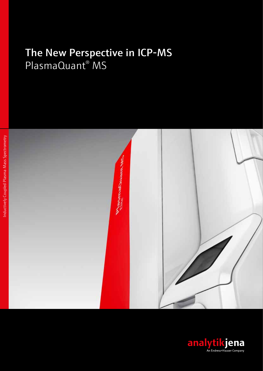# [The New Perspective in ICP-MS](https://www.analytik-jena.de/en/analytical-instrumentation/products/mass-spectrometry/plasmaquantr-ms-elite.html?utm_source=Br_PlasmaQuant_MS_en&utm_medium=PDF&utm_campaign=PlasmaQuantMS) PlasmaQuant® MS



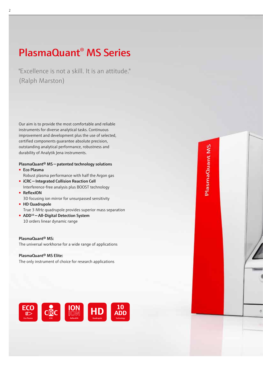## [PlasmaQuant® MS series](https://www.analytik-jena.de/en/analytical-instrumentation/products/mass-spectrometry.html?utm_source=Br_PlasmaQuant_MS_en&utm_medium=PDF&utm_campaign=PlasmaQuantMS)

"Excellence is not a skill. It is an attitude." (Ralph Marston)

Our aim is to provide the most comfortable and reliable instruments for diverse analytical tasks. Continuous improvement and development plus the use of selected, certified components guarantee absolute precision, outstanding analytical performance, robustness and durability of [Analytik Jena](https://www.analytik-jena.de/en.html?utm_source=Br_PlasmaQuant_MS_en&utm_medium=PDF&utm_campaign=AnalytikJena) instruments.

#### [PlasmaQuant® MS — patented technology solutions](https://www.analytik-jena.de/en/analytical-instrumentation/products/mass-spectrometry/plasmaquantr-ms-elite.html?utm_source=Br_PlasmaQuant_MS_en&utm_medium=PDF&utm_campaign=PlasmaQuantMS) ■ [Eco Plasma](https://www.analytik-jena.de/en/analytical-instrumentation/products/mass-spectrometry/technological-highlights.html?utm_source=Br_PlasmaQuant_MS_en&utm_medium=PDF&utm_campaign=PlasmaQuantMS)

[Robust plasma performance with half the Argon gas](https://www.analytik-jena.de/en/analytical-instrumentation/products/mass-spectrometry/technological-highlights.html?utm_source=Br_PlasmaQuant_MS_en&utm_medium=PDF&utm_campaign=PlasmaQuantMS)

- iCRC Integrated Collision Reaction Cell [Interference-free analysis plus BOOST technology](https://www.analytik-jena.de/en/analytical-instrumentation/products/mass-spectrometry/technological-highlights.html?utm_source=Br_PlasmaQuant_MS_en&utm_medium=PDF&utm_campaign=PlasmaQuantMS)
- ReflexION [3D focusing ion mirror for unsurpassed sensitivity](https://www.analytik-jena.de/en/analytical-instrumentation/products/mass-spectrometry/technological-highlights.html?utm_source=Br_PlasmaQuant_MS_en&utm_medium=PDF&utm_campaign=PlasmaQuantMS)
- [HD Quadrupole](https://www.analytik-jena.de/en/analytical-instrumentation/products/mass-spectrometry/technological-highlights.html?utm_source=Br_PlasmaQuant_MS_en&utm_medium=PDF&utm_campaign=PlasmaQuantMS) [True 3 MHz quadrupole provides superior mass separation](https://www.analytik-jena.de/en/analytical-instrumentation/products/mass-spectrometry/technological-highlights.html?utm_source=Br_PlasmaQuant_MS_en&utm_medium=PDF&utm_campaign=PlasmaQuantMS)
- ADD<sup>10</sup> All-Digital Detection System [10 orders linear dynamic range](https://www.analytik-jena.de/en/analytical-instrumentation/products/mass-spectrometry/technological-highlights.html?utm_source=Br_PlasmaQuant_MS_en&utm_medium=PDF&utm_campaign=PlasmaQuantMS)

[PlasmaQuant® MS:](https://www.analytik-jena.de/en/analytical-instrumentation/products/mass-spectrometry/plasmaquantr-ms.html?utm_source=Br_PlasmaQuant_MS_en&utm_medium=PDF&utm_campaign=PlasmaQuantMS)  [The universal workhorse for a wide range of applications](https://www.analytik-jena.de/en/analytical-instrumentation/products/mass-spectrometry/plasmaquantr-ms.html?utm_source=Br_PlasmaQuant_MS_en&utm_medium=PDF&utm_campaign=PlasmaQuantMS)

[PlasmaQuant® MS Elite](https://www.analytik-jena.de/en/analytical-instrumentation/products/mass-spectrometry/plasmaquantr-ms-elite.html?utm_source=Br_PlasmaQuant_MS_en&utm_medium=PDF&utm_campaign=PlasmaQuantMS): The only instrument of choice for research applications





PlasmaQuant<sub>MS</sub>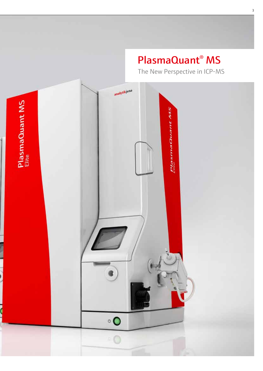# [PlasmaQuant® MS](https://www.analytik-jena.de/en/analytical-instrumentation/products/mass-spectrometry/plasmaquantr-ms-elite.html?utm_source=Br_PlasmaQuant_MS_en&utm_medium=PDF&utm_campaign=PlasmaQuantMS)

The New Perspective in ICP-MS



 $\overline{\mathbf{S}}$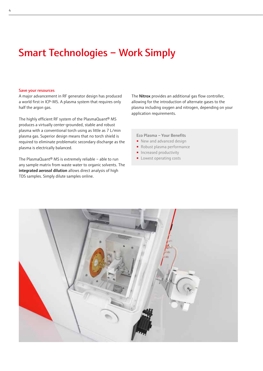## [Smart Technologies – Work Simply](https://www.analytik-jena.de/en/analytical-instrumentation/products/mass-spectrometry.html?utm_source=Br_PlasmaQuant_MS_en&utm_medium=PDf&utm_campaign=PlasmaQuantMS)

#### Save your resources

A major advancement in RF generator design has produced a world first in ICP-MS. A plasma system that requires only half the argon gas.

The highly efficient RF system of the [PlasmaQuant® MS](https://www.analytik-jena.de/en/analytical-instrumentation/products/mass-spectrometry/plasmaquantr-ms-elite.html?utm_source=Br_PlasmaQuant_MS_en&utm_medium=PDF&utm_campaign=PlasmaQuantMS)  produces a virtually center-grounded, stable and robust plasma with a conventional torch using as little as 7 L/min plasma gas. Superior design means that no torch shield is required to eliminate problematic secondary discharge as the plasma is electrically balanced.

The [PlasmaQuant® MS](https://www.analytik-jena.de/en/analytical-instrumentation/products/mass-spectrometry/plasmaquantr-ms-elite.html?utm_source=Br_PlasmaQuant_MS_en&utm_medium=PDF&utm_campaign=PlasmaQuantMS) is extremely reliable – able to run any sample matrix from waste water to organic solvents. The integrated aerosol dilution allows direct analysis of high TDS samples. Simply dilute samples online.

The **Nitrox** provides an additional gas flow controller, allowing for the introduction of alternate gases to the plasma including oxygen and nitrogen, depending on your application requirements.

[Eco Plasma – Your Benefits](https://www.analytik-jena.de/en/analytical-instrumentation/products/mass-spectrometry/technological-highlights.html?utm_source=Br_PlasmaQuant_MS_en&utm_medium=PDF&utm_campaign=PlasmaQuantMS)

- New and advanced design
- Robust plasma performance
- Increased productivity
- Lowest operating costs

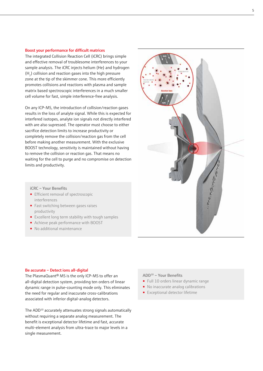#### Boost your performance for difficult matrices

The integrated Collision Reaction Cell (iCRC) brings simple and effective removal of troublesome interferences to your sample analysis. The iCRC injects helium (He) and hydrogen  $(H<sub>2</sub>)$  collision and reaction gases into the high pressure zone at the tip of the skimmer cone. This more efficiently promotes collisions and reactions with plasma and sample matrix based spectroscopic interferences in a much smaller cell volume for fast, simple interference-free analysis.

On any ICP-MS, the introduction of collision/reaction gases results in the loss of analyte signal. While this is expected for interfered isotopes, analyte ion signals not directly interfered with are also supressed. The operator must choose to either sacrifice detection limits to increase productivity or completely remove the collision/reaction gas from the cell before making another measurement. With the exclusive BOOST technology, sensitivity is maintained without having to remove the collision or reaction gas. That means no waiting for the cell to purge and no compromise on detection limits and productivity.

#### iCRC – Your Benefits

- Efficient removal of spectroscopic interferences
- Fast switching between gases raises productivity
- [Excellent long term stability with tough samples](https://www.analytik-jena.de/en/analytical-instrumentation/products/mass-spectrometry/technological-highlights.html?utm_source=Br_PlasmaQuant_MS_en&utm_medium=PDF&utm_campaign=PlasmaQuantMS)
- Achieve peak performance with BOOST
- No additional maintenance

#### Be accurate – Detect ions all-digital

The [PlasmaQuant® MS](https://www.analytik-jena.de/en/analytical-instrumentation/products/mass-spectrometry/plasmaquantr-ms-elite.html?utm_source=Br_PlasmaQuant_MS_en&utm_medium=PDF&utm_campaign=PlasmaQuantMS) is the only ICP-MS to offer an all-digital detection system, providing ten orders of linear dynamic range in pulse-counting mode only. This eliminates the need for regular and inaccurate cross-calibrations associated with inferior digital-analog detectors.

The ADD10 accurately attenuates strong signals automatically without requiring a separate analog measurement. The benefit is exceptional detector lifetime and fast, accurate multi-element analysis from ultra-trace to major levels in a single measurement.

#### ADD10 – Your Benefits

- [Full 10 orders linear dynamic range](https://www.analytik-jena.de/en/analytical-instrumentation/products/mass-spectrometry/technological-highlights.html?utm_source=Br_PlasmaQuant_MS_en&utm_medium=PDF&utm_campaign=PlasmaQuantMS)
- No inaccurate analog calibrations
- Exceptional detector lifetime

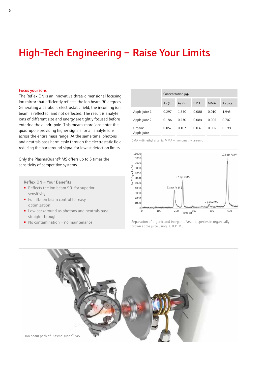## [High-Tech Engineering – Raise Your Limits](https://www.analytik-jena.de/en/analytical-instrumentation/products/mass-spectrometry.html?utm_source=Br_PlasmaQuant_MS_en&utm_medium=PDf&utm_campaign=PlasmaQuantMS)

#### Focus your ions

The ReflexION is an innovative three-dimensional focusing ion mirror that efficiently reflects the ion beam 90 degrees. Generating a parabolic electrostatic field, the incoming ion beam is reflected, and not deflected. The result is analyte ions of different size and energy are tightly focused before entering the quadrupole. This means more ions enter the quadrupole providing higher signals for all analyte ions across the entire mass range. At the same time, photons and neutrals pass harmlessly through the electrostatic field, reducing the background signal for lowest detection limits.

Only the [PlasmaQuant® MS](https://www.analytik-jena.de/en/analytical-instrumentation/products/mass-spectrometry/plasmaquantr-ms-elite.html?utm_source=Br_PlasmaQuant_MS_en&utm_medium=PDF&utm_campaign=PlasmaQuantMS) offers up to 5 times the sensitivity of competitive systems.

■ Reflects the ion beam 90° for superior

■ Low background as photons and neutrals pass

■ Full 3D ion beam control for easy

■ No contamination – no maintenance

ReflexION – Your Benefits

sensitivity

optimization

straight through

Concentration µg/L As (III) As (V) DMA MMA As total Apple Juice 1 0.297 1.550 0.088 0.010 1.945 Apple Juice 2 0.186 0.430 0.084 0.007 0.707 Organic Apple Juice 0.052 0.102 0.037 0.007 0.198

DMA = dimethyl arsenic; MMA = monomethyl arsenic



Separation of organic and inorganic Arsenic species in organically grown apple juice using LC-ICP-MS.

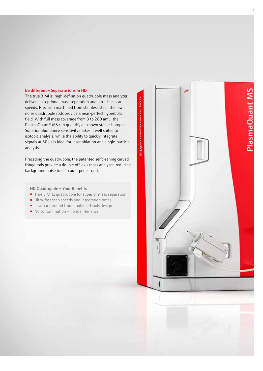#### Be different — Separate ions in HD

The true 3 MHz, high-definition quadrupole mass analyzer delivers exceptional mass separation and ultra-fast scan speeds. Precision machined from stainless steel, the low noise quadrupole rods provide a near-perfect hyperbolic field. With full mass coverage from 3 to 260 amu, the PlasmaQuant® MS can quantify all known stable isotopes. Superior abundance sensitivity makes it well suited to isotopic analysis, while the ability to quickly integrate signals at 50 μs is ideal for laser ablation and single-particle analysis.

Preceding the quadrupole, the patented selfcleaning curved fringe rods provide a double off-axis mass analyzer, reducing background noise to < 1 count per second.

#### HD Quadrupole – Your Benefits

- [True 3 MHz quadrupole for superior mass separation](https://www.analytik-jena.de/en/analytical-instrumentation/products/mass-spectrometry/technological-highlights.html?utm_source=Br_PlasmaQuant_MS_en&utm_medium=PDF&utm_campaign=PlasmaQuantMS)
- Ultra-fast scan speeds and integration times
- Low background from double off-axis design
- No contamination no maintenance

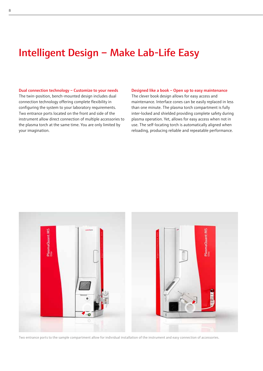### [Intelligent Design – Make Lab-Life Easy](https://www.analytik-jena.de/en/analytical-instrumentation/products/mass-spectrometry.html?utm_source=Br_PlasmaQuant_MS_en&utm_medium=PDf&utm_campaign=PlasmaQuantMS)

#### Dual connection technology – Customize to your needs

The twin-position, bench-mounted design includes dual connection technology offering complete flexibility in configuring the system to your laboratory requirements. Two entrance ports located on the front and side of the instrument allow direct connection of multiple accessories to the plasma torch at the same time. You are only limited by your imagination.

#### Designed like a book – Open up to easy maintenance

The clever book design allows for easy access and maintenance. Interface cones can be easily replaced in less than one minute. The plasma torch compartment is fully inter-locked and shielded providing complete safety during plasma operation. Yet, allows for easy access when not in use. The self-locating torch is automatically aligned when reloading, producing reliable and repeatable performance.



Two entrance ports to the sample compartment allow for individual installation of the instrument and easy connection of accessories.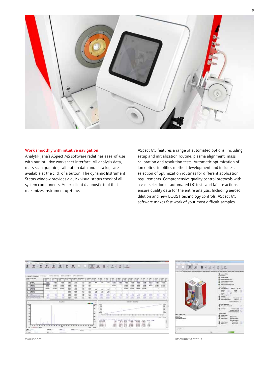

#### Work smoothly with intuitive navigation

[Analytik Jena'](https://www.analytik-jena.de/en.html?utm_source=Br_PlasmaQuant_MS_en&utm_medium=PDF&utm_campaign=AnalytikJena)s ASpect MS software redefines ease-of-use with our intuitive worksheet interface. All analysis data, mass scan graphics, calibration data and data logs are available at the click of a button. The dynamic Instrument Status window provides a quick visual status check of all system components. An excellent diagnostic tool that maximizes instrument up-time.

ASpect MS features a range of automated options, including setup and initialization routine, plasma alignment, mass calibration and resolution tests. Automatic optimization of ion optics simplifies method development and includes a selection of optimization routines for different application requirements. Comprehensive quality control protocols with a vast selection of automated QC tests and failure actions ensure quality data for the entire analysis. Including aerosol dilution and new BOOST technology controls, ASpect MS software makes fast work of your most difficult samples.





Worksheet **Instrument status Instrument status**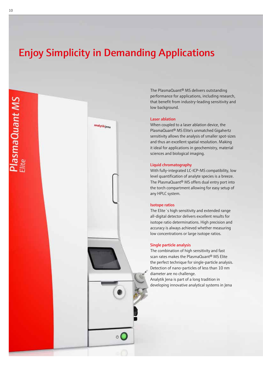## [Enjoy Simplicity in Demanding Applications](https://www.analytik-jena.de/en/analytical-instrumentation/products/mass-spectrometry.html?utm_source=Br_PlasmaQuant_MS_en&utm_medium=PDf&utm_campaign=PlasmaQuantMS)



The [PlasmaQuant® MS](https://www.analytik-jena.de/en/analytical-instrumentation/products/mass-spectrometry/plasmaquantr-ms-elite.html?utm_source=Br_PlasmaQuant_MS_en&utm_medium=PDF&utm_campaign=PlasmaQuantMS) delivers outstanding performance for applications, including research, that benefit from industry-leading sensitivity and low background.

#### Laser ablation

When coupled to a laser ablation device, the [PlasmaQuant® MS Elite](https://www.analytik-jena.de/en/analytical-instrumentation/products/mass-spectrometry/plasmaquantr-ms-elite.html?utm_source=Br_PlasmaQuant_MS_en&utm_medium=PDF&utm_campaign=PlasmaQuantMS)'s unmatched Gigahertz sensitivity allows the analysis of smaller spot-sizes and thus an excellent spatial resolution. Making it ideal for applications in geochemistry, material sciences and biological imaging.

#### Liquid chromatography

With fully-integrated LC-ICP-MS compatibility, low level quantification of analyte species is a breeze. The [PlasmaQuant® MS](https://www.analytik-jena.de/en/analytical-instrumentation/products/mass-spectrometry/plasmaquantr-ms-elite.html?utm_source=Br_PlasmaQuant_MS_en&utm_medium=PDF&utm_campaign=PlasmaQuantMS) offers dual entry port into the torch compartment allowing for easy setup of any HPLC system.

#### Isotope ratios

The Elite´s high sensitivity and extended range all-digital detector delivers excellent results for isotope ratio determinations. High precision and accuracy is always achieved whether measuring low concentrations or large isotope ratios.

#### Single particle analysis

The combination of high sensitivity and fast scan rates makes the [PlasmaQuant® MS Elite](https://www.analytik-jena.de/en/analytical-instrumentation/products/mass-spectrometry/plasmaquantr-ms-elite.html?utm_source=Br_PlasmaQuant_MS_en&utm_medium=PDF&utm_campaign=PlasmaQuantMS)  the perfect technique for single-particle analysis. Detection of nano-particles of less than 10 nm diameter are no challenge. [Analytik Jena](https://www.analytik-jena.de/en.html?utm_source=Br_PlasmaQuant_MS_en&utm_medium=PDF&utm_campaign=AnalytikJena) is part of a long tradition in developing innovative analytical systems in Jena

P<mark>lasmaQuant MS</mark><br><sup>Jite</sup>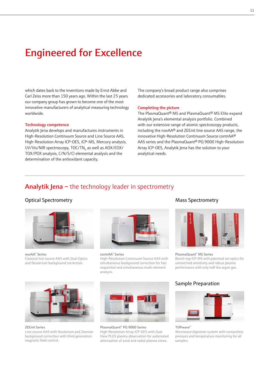### [Engineered for Excellence](https://www.analytik-jena.de/en.html?utm_source=Br_PlasmaQuant_MS_en&utm_medium=PDF&utm_campaign=AnalytikJena)

which dates back to the inventions made by Ernst Abbe and Carl Zeiss more than 150 years ago. Within the last 25 years our company group has grown to become one of the most innovative manufacturers of analytical measuring technology worldwide.

#### [Technology competence](https://www.analytik-jena.de/en/analytical-instrumentation/products.html?utm_source=Br_PlasmaQuant_MS_en&utm_medium=PDF&utm_campaign=AnalyticalInstrumentation)

[Analytik Jena](https://www.analytik-jena.de/en.html?utm_source=Br_PlasmaQuant_MS_en&utm_medium=PDF&utm_campaign=AnalytikJena) develops and manufactures instruments in [High-Resolution Continuum Source](https://www.analytik-jena.de/en/analytical-instrumentation/products/atomic-absorption-spectrometry/hr-cs-aas/contraar-800-d.html?utm_source=Br_PlasmaQuant_MS_en&utm_medium=PDF&utm_campaign=contrAA) and [Line Source AAS,](https://www.analytik-jena.de/en/analytical-instrumentation/products/atomic-absorption-spectrometry/flame-graphite-furnace-technique/novaar-400-p.html?utm_source=Br_PlasmaQuant_MS_en&utm_medium=PDF&utm_campaign=novAA) [High-Resolution Array ICP-OES,](https://www.analytik-jena.de/en/analytical-instrumentation/products/optical-emission-spectrometry/plasmaquantr-pq-9000-elite.html?utm_source=Br_PlasmaQuant_MS_en&utm_medium=PDF&utm_campaign=PlasmaQuantPQ9000) [ICP-MS,](https://www.analytik-jena.de/en/analytical-instrumentation/products/mass-spectrometry/plasmaquantr-ms-elite.html?utm_source=Br_PlasmaQuant_MS_en&utm_medium=PDF&utm_campaign=PlasmaQuantMS) [Mercury analysis,](https://www.analytik-jena.de/en/analytical-instrumentation/products.html?utm_source=Br_PlasmaQuant_MS_en&utm_medium=PDF&utm_campaign=AnalyticalInstrumentation)  UV/Vis/NIR spectroscopy, TOC/TN<sub>b</sub> as well as AOX/EOX/ [TOX/POX analysis, C/N/S/Cl elemental analysis and the](https://www.analytik-jena.de/en/analytical-instrumentation/products.html?utm_source=Br_PlasmaQuant_MS_en&utm_medium=PDF&utm_campaign=AnalyticalInstrumentation)  [determination of the antioxidant capacity.](https://www.analytik-jena.de/en/analytical-instrumentation/products.html?utm_source=Br_PlasmaQuant_MS_en&utm_medium=PDF&utm_campaign=AnalyticalInstrumentation)

The company's broad product range also comprises dedicated accessories and laboratory consumables.

#### Completing the picture

The PlasmaQuant® MS and [PlasmaQuant® MS Elite](https://www.analytik-jena.de/en/analytical-instrumentation/products/mass-spectrometry/plasmaquantr-ms-elite.html?utm_source=Br_PlasmaQuant_MS_en&utm_medium=PDF&utm_campaign=PlasmaQuantMS) expand [Analytik Jena'](https://www.analytik-jena.de/en.html?utm_source=Br_PlasmaQuant_MS_en&utm_medium=PDF&utm_campaign=AnalytikJena)s elemental analysis portfolio. Combined with our extensive range of atomic spectroscopy products, including the [novAA®](https://www.analytik-jena.de/en/analytical-instrumentation/products/atomic-absorption-spectrometry/flame-graphite-furnace-technique/novaar-400-p.html?utm_source=Br_PlasmaQuant_MS_en&utm_medium=PDF&utm_campaign=novAA) and [ZEEnit line source AAS range,](https://www.analytik-jena.de/en/analytical-instrumentation/products/atomic-absorption-spectrometry/overview-product-series/zeenit-series.html?utm_source=Br_PlasmaQuant_MS_en&utm_medium=PDF&utm_campaign=ZEEnit) [the](https://www.analytik-jena.de/en/analytical-instrumentation/products/atomic-absorption-spectrometry/hr-cs-aas/contraar-800-d.html?utm_source=Br_PlasmaQuant_MS_en&utm_medium=PDF&utm_campaign=contrAA)  [innovative High-Resolution Continuum Source contrAA®](https://www.analytik-jena.de/en/analytical-instrumentation/products/atomic-absorption-spectrometry/hr-cs-aas/contraar-800-d.html?utm_source=Br_PlasmaQuant_MS_en&utm_medium=PDF&utm_campaign=contrAA)  [AAS series](https://www.analytik-jena.de/en/analytical-instrumentation/products/atomic-absorption-spectrometry/hr-cs-aas/contraar-800-d.html?utm_source=Br_PlasmaQuant_MS_en&utm_medium=PDF&utm_campaign=contrAA) and the [PlasmaQuant® PQ 9000 High-Resolution](https://www.analytik-jena.de/en/analytical-instrumentation/products/optical-emission-spectrometry/plasmaquantr-pq-9000-elite.html?utm_source=Br_PlasmaQuant_MS_en&utm_medium=PDF&utm_campaign=PlasmaQuantPQ9000)  [Array ICP-OES,](https://www.analytik-jena.de/en/analytical-instrumentation/products/optical-emission-spectrometry/plasmaquantr-pq-9000-elite.html?utm_source=Br_PlasmaQuant_MS_en&utm_medium=PDF&utm_campaign=PlasmaQuantPQ9000) [Analytik Jena](https://www.analytik-jena.de/en.html?utm_source=Br_PlasmaQuant_MS_en&utm_medium=PDF&utm_campaign=AnalytikJena) has the solution to your analytical needs.

### Analytik Jena – the technology leader in spectrometry

### Optical Spectrometry



novAA® Series [Classical line source AAS with Dual Optics](https://www.analytik-jena.de/en/analytical-instrumentation/products/atomic-absorption-spectrometry/flame-graphite-furnace-technique/novaar-400-p.html?utm_source=Br_PlasmaQuant_MS_en&utm_medium=PDF&utm_campaign=novAA)  and Deuterium background correction.



contrAA® Series [High-Resolution Continuum Source AAS with](https://www.analytik-jena.de/en/analytical-instrumentation/products/atomic-absorption-spectrometry/hr-cs-aas/contraar-800-d.html?utm_source=Br_PlasmaQuant_MS_en&utm_medium=PDF&utm_campaign=contrAA)  simultaneous background correction for fast sequential and simultaneous multi-element analysis.

### [Mass Spectrometry](https://www.analytik-jena.de/en/analytical-instrumentation/products/mass-spectrometry.html?utm_source=Br_PlasmaQuant_MS_en&utm_medium=PDF&utm_campaign=PlasmaQuantMS)



[PlasmaQuant® MS Series](https://www.analytik-jena.de/en/analytical-instrumentation/products/mass-spectrometry.html?utm_source=Br_PlasmaQuant_MS_en&utm_medium=PDF&utm_campaign=PlasmaQuantMS) [Bench-top ICP-MS with patented ion optics for](https://www.analytik-jena.de/en/analytical-instrumentation/products/mass-spectrometry.html?utm_source=Br_PlasmaQuant_MS_en&utm_medium=PDF&utm_campaign=PlasmaQuantMS)  unmatched sensitivity and robust plasma performance with only half the argon gas.

### Sample Preparation



TOPwave® [Microwave digestion system with contactless](https://www.analytik-jena.de/en/analytical-instrumentation/products/sample-preparation.html?utm_source=Br_PlasmaQuant_MS_en&utm_medium=PDF&utm_campaign=TOPwave)  pressure and temperature monitoring for all samples.



ZEEnit Series

[Line source AAS with Deuterium and Zeeman](https://www.analytik-jena.de/en/analytical-instrumentation/products/atomic-absorption-spectrometry/overview-product-series/zeenit-series.html?utm_source=Br_PlasmaQuant_MS_en&utm_medium=PDF&utm_campaign=ZEEnit)  background correction with third generation magnetic field control.



PlasmaQuant® PQ 9000 Series High-Resolution Array ICP-OES with Dual [View PLUS plasma observation for automated](https://www.analytik-jena.de/en/analytical-instrumentation/products/optical-emission-spectrometry/plasmaquantr-pq-9000-elite.html?utm_source=Br_PlasmaQuant_MS_en&utm_medium=PDF&utm_campaign=PlasmaQuantPQ9000)  attenuation of axial and radial plasma views.